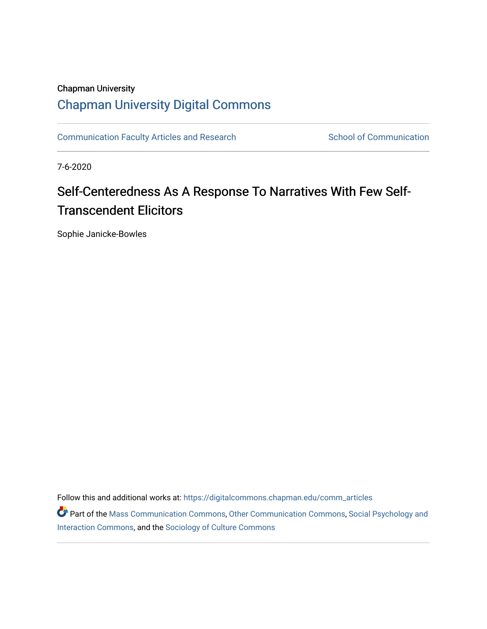# Chapman University [Chapman University Digital Commons](https://digitalcommons.chapman.edu/)

[Communication Faculty Articles and Research](https://digitalcommons.chapman.edu/comm_articles) School of Communication

7-6-2020

# Self-Centeredness As A Response To Narratives With Few Self-Transcendent Elicitors

Sophie Janicke-Bowles

Follow this and additional works at: [https://digitalcommons.chapman.edu/comm\\_articles](https://digitalcommons.chapman.edu/comm_articles?utm_source=digitalcommons.chapman.edu%2Fcomm_articles%2F72&utm_medium=PDF&utm_campaign=PDFCoverPages) 

Part of the [Mass Communication Commons,](http://network.bepress.com/hgg/discipline/334?utm_source=digitalcommons.chapman.edu%2Fcomm_articles%2F72&utm_medium=PDF&utm_campaign=PDFCoverPages) [Other Communication Commons](http://network.bepress.com/hgg/discipline/339?utm_source=digitalcommons.chapman.edu%2Fcomm_articles%2F72&utm_medium=PDF&utm_campaign=PDFCoverPages), [Social Psychology and](http://network.bepress.com/hgg/discipline/430?utm_source=digitalcommons.chapman.edu%2Fcomm_articles%2F72&utm_medium=PDF&utm_campaign=PDFCoverPages) [Interaction Commons](http://network.bepress.com/hgg/discipline/430?utm_source=digitalcommons.chapman.edu%2Fcomm_articles%2F72&utm_medium=PDF&utm_campaign=PDFCoverPages), and the [Sociology of Culture Commons](http://network.bepress.com/hgg/discipline/431?utm_source=digitalcommons.chapman.edu%2Fcomm_articles%2F72&utm_medium=PDF&utm_campaign=PDFCoverPages)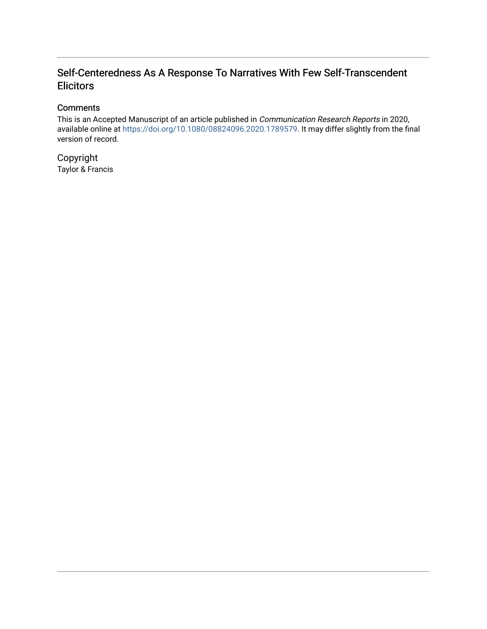# Self-Centeredness As A Response To Narratives With Few Self-Transcendent **Elicitors**

### **Comments**

This is an Accepted Manuscript of an article published in Communication Research Reports in 2020, available online at<https://doi.org/10.1080/08824096.2020.1789579>. It may differ slightly from the final version of record.

Copyright Taylor & Francis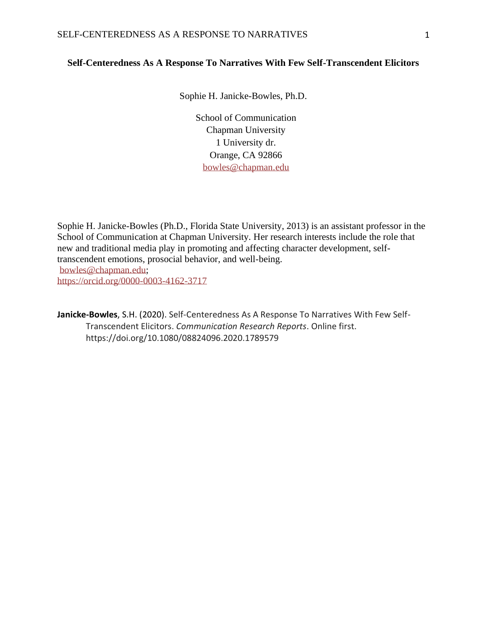#### **Self-Centeredness As A Response To Narratives With Few Self-Transcendent Elicitors**

Sophie H. Janicke-Bowles, Ph.D.

School of Communication Chapman University 1 University dr. Orange, CA 92866 bowles@chapman.edu

Sophie H. Janicke-Bowles (Ph.D., Florida State University, 2013) is an assistant professor in the School of Communication at Chapman University. Her research interests include the role that new and traditional media play in promoting and affecting character development, selftranscendent emotions, prosocial behavior, and well-being. [bowles@chapman.edu;](mailto:bowles@chapman.edu) <https://orcid.org/0000-0003-4162-3717>

**Janicke-Bowles**, S.H. (2020). Self-Centeredness As A Response To Narratives With Few Self-Transcendent Elicitors. *Communication Research Reports*. Online first. https://doi.org/10.1080/08824096.2020.1789579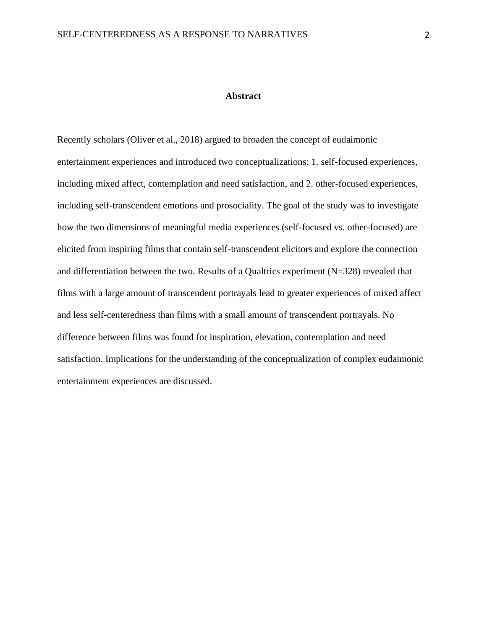#### **Abstract**

Recently scholars (Oliver et al., 2018) argued to broaden the concept of eudaimonic entertainment experiences and introduced two conceptualizations: 1. self-focused experiences, including mixed affect, contemplation and need satisfaction, and 2. other-focused experiences, including self-transcendent emotions and prosociality. The goal of the study was to investigate how the two dimensions of meaningful media experiences (self-focused vs. other-focused) are elicited from inspiring films that contain self-transcendent elicitors and explore the connection and differentiation between the two. Results of a Qualtrics experiment (N=328) revealed that films with a large amount of transcendent portrayals lead to greater experiences of mixed affect and less self-centeredness than films with a small amount of transcendent portrayals. No difference between films was found for inspiration, elevation, contemplation and need satisfaction. Implications for the understanding of the conceptualization of complex eudaimonic entertainment experiences are discussed.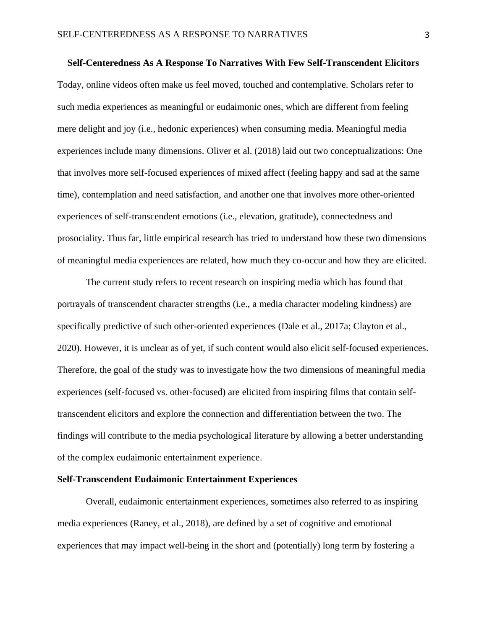**Self-Centeredness As A Response To Narratives With Few Self-Transcendent Elicitors**  Today, online videos often make us feel moved, touched and contemplative. Scholars refer to such media experiences as meaningful or eudaimonic ones, which are different from feeling mere delight and joy (i.e., hedonic experiences) when consuming media. Meaningful media experiences include many dimensions. Oliver et al. (2018) laid out two conceptualizations: One that involves more self-focused experiences of mixed affect (feeling happy and sad at the same time), contemplation and need satisfaction, and another one that involves more other-oriented experiences of self-transcendent emotions (i.e., elevation, gratitude), connectedness and prosociality. Thus far, little empirical research has tried to understand how these two dimensions of meaningful media experiences are related, how much they co-occur and how they are elicited.

The current study refers to recent research on inspiring media which has found that portrayals of transcendent character strengths (i.e., a media character modeling kindness) are specifically predictive of such other-oriented experiences (Dale et al., 2017a; Clayton et al., 2020). However, it is unclear as of yet, if such content would also elicit self-focused experiences. Therefore, the goal of the study was to investigate how the two dimensions of meaningful media experiences (self-focused vs. other-focused) are elicited from inspiring films that contain selftranscendent elicitors and explore the connection and differentiation between the two. The findings will contribute to the media psychological literature by allowing a better understanding of the complex eudaimonic entertainment experience.

#### **Self-Transcendent Eudaimonic Entertainment Experiences**

Overall, eudaimonic entertainment experiences, sometimes also referred to as inspiring media experiences (Raney, et al., 2018), are defined by a set of cognitive and emotional experiences that may impact well-being in the short and (potentially) long term by fostering a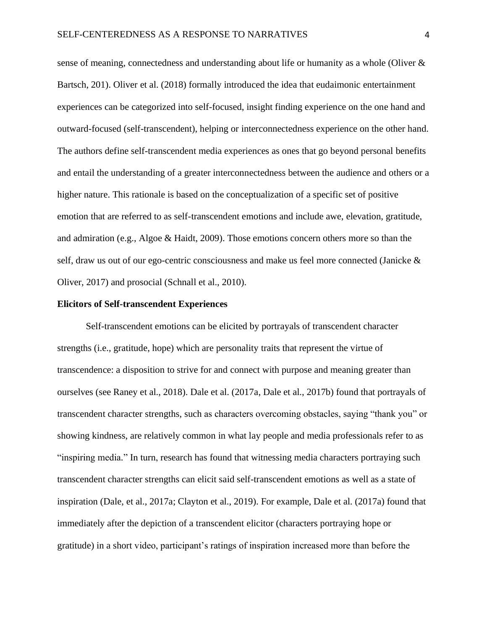sense of meaning, connectedness and understanding about life or humanity as a whole (Oliver & Bartsch, 201). Oliver et al. (2018) formally introduced the idea that eudaimonic entertainment experiences can be categorized into self-focused, insight finding experience on the one hand and outward-focused (self-transcendent), helping or interconnectedness experience on the other hand. The authors define self-transcendent media experiences as ones that go beyond personal benefits and entail the understanding of a greater interconnectedness between the audience and others or a higher nature. This rationale is based on the conceptualization of a specific set of positive emotion that are referred to as self-transcendent emotions and include awe, elevation, gratitude, and admiration (e.g., Algoe & Haidt, 2009). Those emotions concern others more so than the self, draw us out of our ego-centric consciousness and make us feel more connected (Janicke & Oliver, 2017) and prosocial (Schnall et al., 2010).

#### **Elicitors of Self-transcendent Experiences**

Self-transcendent emotions can be elicited by portrayals of transcendent character strengths (i.e., gratitude, hope) which are personality traits that represent the virtue of transcendence: a disposition to strive for and connect with purpose and meaning greater than ourselves (see Raney et al., 2018). Dale et al. (2017a, Dale et al., 2017b) found that portrayals of transcendent character strengths, such as characters overcoming obstacles, saying "thank you" or showing kindness, are relatively common in what lay people and media professionals refer to as "inspiring media." In turn, research has found that witnessing media characters portraying such transcendent character strengths can elicit said self-transcendent emotions as well as a state of inspiration (Dale, et al., 2017a; Clayton et al., 2019). For example, Dale et al. (2017a) found that immediately after the depiction of a transcendent elicitor (characters portraying hope or gratitude) in a short video, participant's ratings of inspiration increased more than before the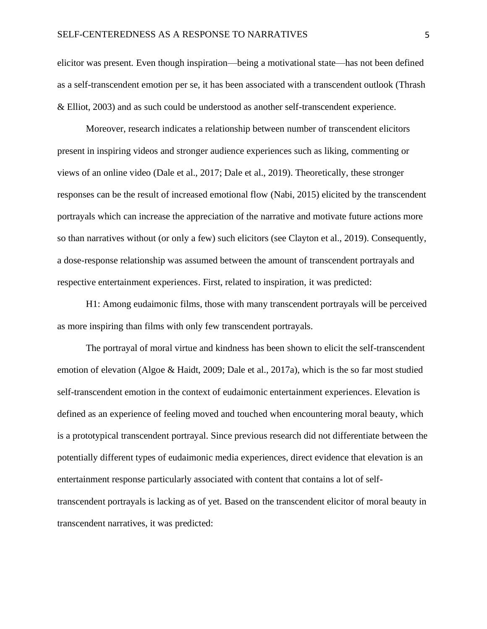elicitor was present. Even though inspiration—being a motivational state—has not been defined as a self-transcendent emotion per se, it has been associated with a transcendent outlook (Thrash & Elliot, 2003) and as such could be understood as another self-transcendent experience.

Moreover, research indicates a relationship between number of transcendent elicitors present in inspiring videos and stronger audience experiences such as liking, commenting or views of an online video (Dale et al., 2017; Dale et al., 2019). Theoretically, these stronger responses can be the result of increased emotional flow (Nabi, 2015) elicited by the transcendent portrayals which can increase the appreciation of the narrative and motivate future actions more so than narratives without (or only a few) such elicitors (see Clayton et al., 2019). Consequently, a dose-response relationship was assumed between the amount of transcendent portrayals and respective entertainment experiences. First, related to inspiration, it was predicted:

H1: Among eudaimonic films, those with many transcendent portrayals will be perceived as more inspiring than films with only few transcendent portrayals.

The portrayal of moral virtue and kindness has been shown to elicit the self-transcendent emotion of elevation (Algoe & Haidt, 2009; Dale et al., 2017a), which is the so far most studied self-transcendent emotion in the context of eudaimonic entertainment experiences. Elevation is defined as an experience of feeling moved and touched when encountering moral beauty, which is a prototypical transcendent portrayal. Since previous research did not differentiate between the potentially different types of eudaimonic media experiences, direct evidence that elevation is an entertainment response particularly associated with content that contains a lot of selftranscendent portrayals is lacking as of yet. Based on the transcendent elicitor of moral beauty in transcendent narratives, it was predicted: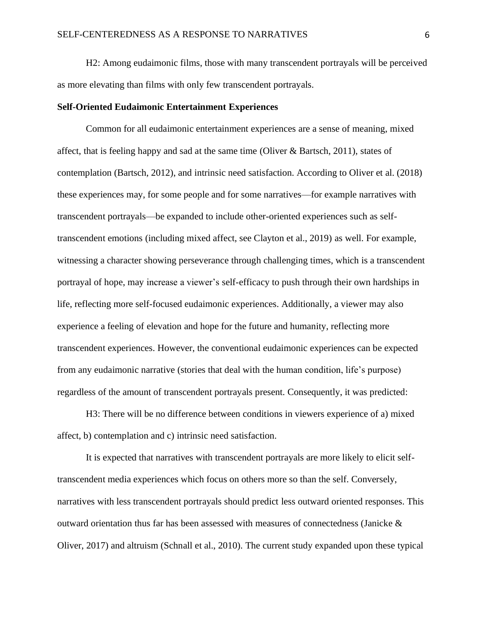H2: Among eudaimonic films, those with many transcendent portrayals will be perceived as more elevating than films with only few transcendent portrayals.

#### **Self-Oriented Eudaimonic Entertainment Experiences**

Common for all eudaimonic entertainment experiences are a sense of meaning, mixed affect, that is feeling happy and sad at the same time (Oliver  $\&$  Bartsch, 2011), states of contemplation (Bartsch, 2012), and intrinsic need satisfaction. According to Oliver et al. (2018) these experiences may, for some people and for some narratives—for example narratives with transcendent portrayals—be expanded to include other-oriented experiences such as selftranscendent emotions (including mixed affect, see Clayton et al., 2019) as well. For example, witnessing a character showing perseverance through challenging times, which is a transcendent portrayal of hope, may increase a viewer's self-efficacy to push through their own hardships in life, reflecting more self-focused eudaimonic experiences. Additionally, a viewer may also experience a feeling of elevation and hope for the future and humanity, reflecting more transcendent experiences. However, the conventional eudaimonic experiences can be expected from any eudaimonic narrative (stories that deal with the human condition, life's purpose) regardless of the amount of transcendent portrayals present. Consequently, it was predicted:

H3: There will be no difference between conditions in viewers experience of a) mixed affect, b) contemplation and c) intrinsic need satisfaction.

It is expected that narratives with transcendent portrayals are more likely to elicit selftranscendent media experiences which focus on others more so than the self. Conversely, narratives with less transcendent portrayals should predict less outward oriented responses. This outward orientation thus far has been assessed with measures of connectedness (Janicke & Oliver, 2017) and altruism (Schnall et al., 2010). The current study expanded upon these typical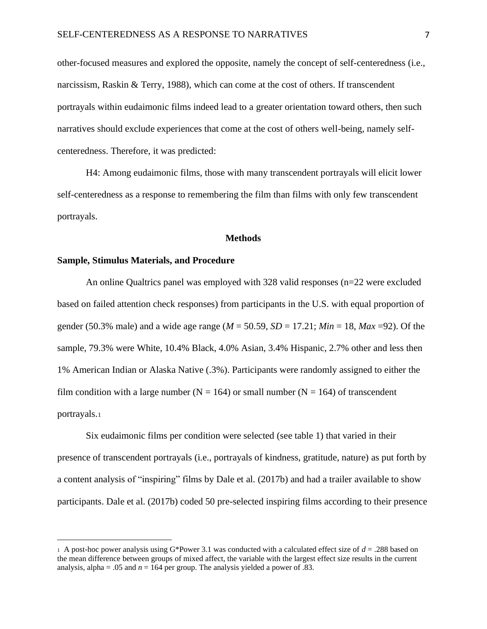other-focused measures and explored the opposite, namely the concept of self-centeredness (i.e., narcissism, Raskin & Terry, 1988), which can come at the cost of others. If transcendent portrayals within eudaimonic films indeed lead to a greater orientation toward others, then such narratives should exclude experiences that come at the cost of others well-being, namely selfcenteredness. Therefore, it was predicted:

H4: Among eudaimonic films, those with many transcendent portrayals will elicit lower self-centeredness as a response to remembering the film than films with only few transcendent portrayals.

#### **Methods**

#### **Sample, Stimulus Materials, and Procedure**

An online Qualtrics panel was employed with 328 valid responses (n=22 were excluded based on failed attention check responses) from participants in the U.S. with equal proportion of gender (50.3% male) and a wide age range ( $M = 50.59$ ,  $SD = 17.21$ ;  $Min = 18$ ,  $Max = 92$ ). Of the sample, 79.3% were White, 10.4% Black, 4.0% Asian, 3.4% Hispanic, 2.7% other and less then 1% American Indian or Alaska Native (.3%). Participants were randomly assigned to either the film condition with a large number ( $N = 164$ ) or small number ( $N = 164$ ) of transcendent portrayals.<sup>1</sup>

Six eudaimonic films per condition were selected (see table 1) that varied in their presence of transcendent portrayals (i.e., portrayals of kindness, gratitude, nature) as put forth by a content analysis of "inspiring" films by Dale et al. (2017b) and had a trailer available to show participants. Dale et al. (2017b) coded 50 pre-selected inspiring films according to their presence

<sup>1</sup> A post-hoc power analysis using G\*Power 3.1 was conducted with a calculated effect size of  $d = .288$  based on the mean difference between groups of mixed affect, the variable with the largest effect size results in the current analysis, alpha = .05 and  $n = 164$  per group. The analysis yielded a power of .83.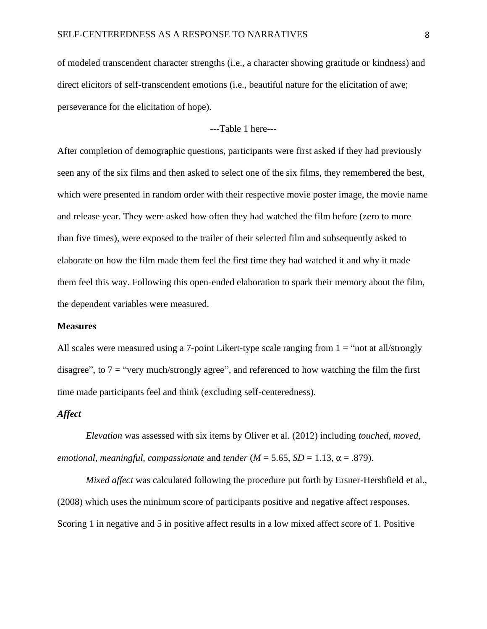of modeled transcendent character strengths (i.e., a character showing gratitude or kindness) and direct elicitors of self-transcendent emotions (i.e., beautiful nature for the elicitation of awe; perseverance for the elicitation of hope).

---Table 1 here---

After completion of demographic questions, participants were first asked if they had previously seen any of the six films and then asked to select one of the six films, they remembered the best, which were presented in random order with their respective movie poster image, the movie name and release year. They were asked how often they had watched the film before (zero to more than five times), were exposed to the trailer of their selected film and subsequently asked to elaborate on how the film made them feel the first time they had watched it and why it made them feel this way. Following this open-ended elaboration to spark their memory about the film, the dependent variables were measured.

#### **Measures**

All scales were measured using a 7-point Likert-type scale ranging from  $1 =$  "not at all/strongly disagree", to  $7 =$  "very much/strongly agree", and referenced to how watching the film the first time made participants feel and think (excluding self-centeredness).

#### *Affect*

*Elevation* was assessed with six items by Oliver et al. (2012) including *touched, moved, emotional, meaningful, compassionate and <i>tender* ( $M = 5.65$ ,  $SD = 1.13$ ,  $\alpha = .879$ ).

*Mixed affect* was calculated following the procedure put forth by Ersner-Hershfield et al., (2008) which uses the minimum score of participants positive and negative affect responses. Scoring 1 in negative and 5 in positive affect results in a low mixed affect score of 1. Positive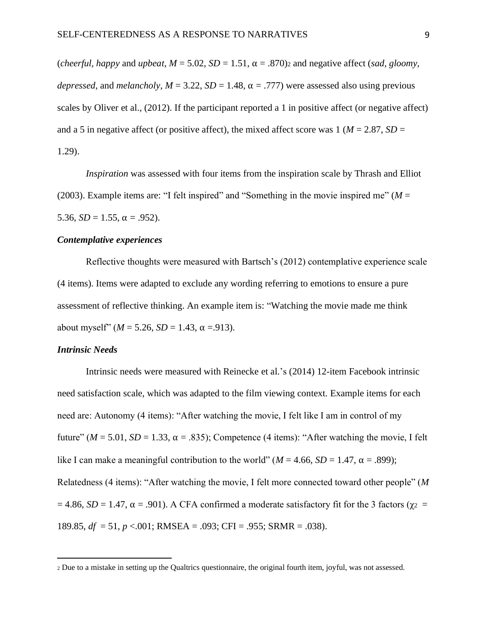(*cheerful, happy and upbeat, M* = 5.02, *SD* = 1.51,  $\alpha$  = .870)<sub>2</sub> and negative affect (*sad, gloomy, depressed*, and *melancholy*,  $M = 3.22$ ,  $SD = 1.48$ ,  $\alpha = .777$ ) were assessed also using previous scales by Oliver et al., (2012). If the participant reported a 1 in positive affect (or negative affect) and a 5 in negative affect (or positive affect), the mixed affect score was  $1 \ (M = 2.87, SD = 1)$ 1.29).

*Inspiration* was assessed with four items from the inspiration scale by Thrash and Elliot (2003). Example items are: "I felt inspired" and "Something in the movie inspired me" ( $M =$ 5.36,  $SD = 1.55$ ,  $\alpha = .952$ ).

#### *Contemplative experiences*

Reflective thoughts were measured with Bartsch's (2012) contemplative experience scale (4 items). Items were adapted to exclude any wording referring to emotions to ensure a pure assessment of reflective thinking. An example item is: "Watching the movie made me think about myself"  $(M = 5.26, SD = 1.43, \alpha = .913)$ .

#### *Intrinsic Needs*

Intrinsic needs were measured with Reinecke et al.'s (2014) 12-item Facebook intrinsic need satisfaction scale, which was adapted to the film viewing context. Example items for each need are: Autonomy (4 items): "After watching the movie, I felt like I am in control of my future"  $(M = 5.01, SD = 1.33, \alpha = .835)$ ; Competence (4 items): "After watching the movie, I felt like I can make a meaningful contribution to the world" ( $M = 4.66$ ,  $SD = 1.47$ ,  $\alpha = .899$ ); Relatedness (4 items): "After watching the movie, I felt more connected toward other people" (*M*  $= 4.86$ , *SD* = 1.47,  $\alpha = .901$ ). A CFA confirmed a moderate satisfactory fit for the 3 factors ( $\gamma_2$  = 189.85, *df* = 51, *p* <.001; RMSEA = .093; CFI = .955; SRMR = .038).

<sup>2</sup> Due to a mistake in setting up the Qualtrics questionnaire, the original fourth item, joyful, was not assessed.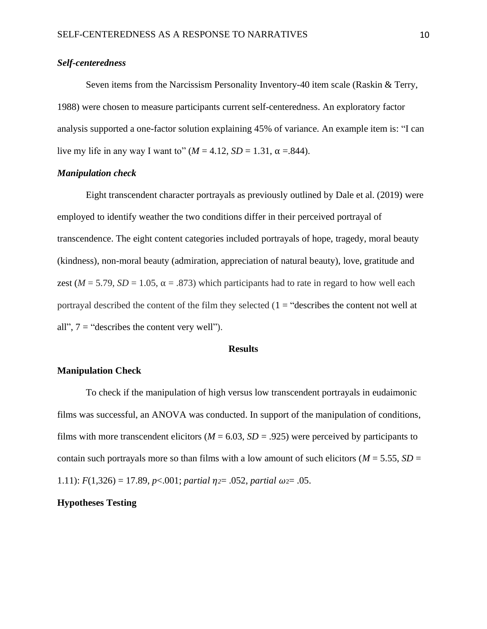#### *Self-centeredness*

Seven items from the Narcissism Personality Inventory-40 item scale (Raskin & Terry, 1988) were chosen to measure participants current self-centeredness. An exploratory factor analysis supported a one-factor solution explaining 45% of variance. An example item is: "I can live my life in any way I want to"  $(M = 4.12, SD = 1.31, \alpha = .844)$ .

#### *Manipulation check*

Eight transcendent character portrayals as previously outlined by Dale et al. (2019) were employed to identify weather the two conditions differ in their perceived portrayal of transcendence. The eight content categories included portrayals of hope, tragedy, moral beauty (kindness), non-moral beauty (admiration, appreciation of natural beauty), love, gratitude and zest ( $M = 5.79$ ,  $SD = 1.05$ ,  $\alpha = .873$ ) which participants had to rate in regard to how well each portrayal described the content of the film they selected  $(1 -$ "describes the content not well at all",  $7 =$  "describes the content very well").

#### **Results**

#### **Manipulation Check**

To check if the manipulation of high versus low transcendent portrayals in eudaimonic films was successful, an ANOVA was conducted. In support of the manipulation of conditions, films with more transcendent elicitors ( $M = 6.03$ ,  $SD = .925$ ) were perceived by participants to contain such portrayals more so than films with a low amount of such elicitors ( $M = 5.55$ ,  $SD =$ 1.11):  $F(1,326) = 17.89$ ,  $p<0.001$ ; *partial*  $\eta = 0.052$ , *partial*  $\omega = 0.05$ .

### **Hypotheses Testing**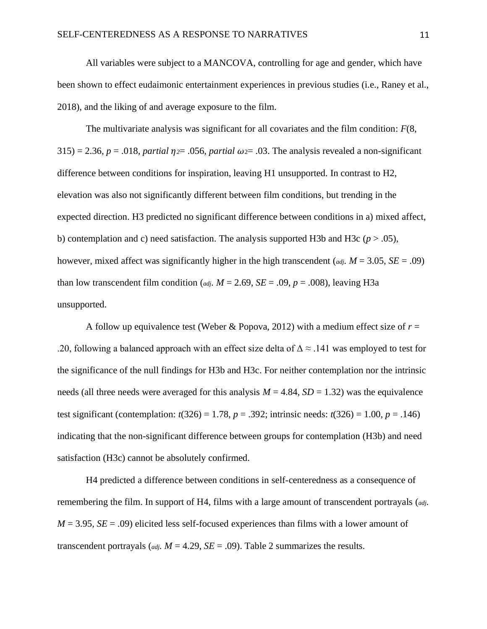All variables were subject to a MANCOVA, controlling for age and gender, which have been shown to effect eudaimonic entertainment experiences in previous studies (i.e., Raney et al., 2018), and the liking of and average exposure to the film.

The multivariate analysis was significant for all covariates and the film condition: *F*(8,  $315$ ) = 2.36, *p* = .018, *partial*  $\eta$ *<sub>2</sub>*= .056, *partial*  $\omega$ <sub>2</sub>= .03. The analysis revealed a non-significant difference between conditions for inspiration, leaving H1 unsupported. In contrast to H2, elevation was also not significantly different between film conditions, but trending in the expected direction. H3 predicted no significant difference between conditions in a) mixed affect, b) contemplation and c) need satisfaction. The analysis supported H3b and H3c ( $p > .05$ ), however, mixed affect was significantly higher in the high transcendent (*adj. M* = 3.05, *SE* = .09) than low transcendent film condition (*adj.*  $M = 2.69$ ,  $SE = .09$ ,  $p = .008$ ), leaving H3a unsupported.

A follow up equivalence test (Weber & Popova, 2012) with a medium effect size of  $r =$ .20, following a balanced approach with an effect size delta of  $\Delta \approx .141$  was employed to test for the significance of the null findings for H3b and H3c. For neither contemplation nor the intrinsic needs (all three needs were averaged for this analysis  $M = 4.84$ ,  $SD = 1.32$ ) was the equivalence test significant (contemplation:  $t(326) = 1.78$ ,  $p = .392$ ; intrinsic needs:  $t(326) = 1.00$ ,  $p = .146$ ) indicating that the non-significant difference between groups for contemplation (H3b) and need satisfaction (H3c) cannot be absolutely confirmed.

H4 predicted a difference between conditions in self-centeredness as a consequence of remembering the film. In support of H4, films with a large amount of transcendent portrayals (*adj.*   $M = 3.95$ ,  $SE = .09$ ) elicited less self-focused experiences than films with a lower amount of transcendent portrayals ( $adj$ ,  $M = 4.29$ ,  $SE = .09$ ). Table 2 summarizes the results.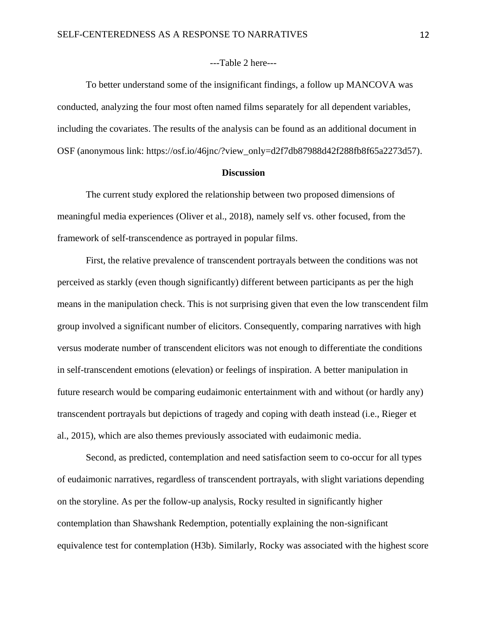#### ---Table 2 here---

To better understand some of the insignificant findings, a follow up MANCOVA was conducted, analyzing the four most often named films separately for all dependent variables, including the covariates. The results of the analysis can be found as an additional document in OSF (anonymous link: https://osf.io/46jnc/?view\_only=d2f7db87988d42f288fb8f65a2273d57).

#### **Discussion**

The current study explored the relationship between two proposed dimensions of meaningful media experiences (Oliver et al., 2018), namely self vs. other focused, from the framework of self-transcendence as portrayed in popular films.

First, the relative prevalence of transcendent portrayals between the conditions was not perceived as starkly (even though significantly) different between participants as per the high means in the manipulation check. This is not surprising given that even the low transcendent film group involved a significant number of elicitors. Consequently, comparing narratives with high versus moderate number of transcendent elicitors was not enough to differentiate the conditions in self-transcendent emotions (elevation) or feelings of inspiration. A better manipulation in future research would be comparing eudaimonic entertainment with and without (or hardly any) transcendent portrayals but depictions of tragedy and coping with death instead (i.e., Rieger et al., 2015), which are also themes previously associated with eudaimonic media.

Second, as predicted, contemplation and need satisfaction seem to co-occur for all types of eudaimonic narratives, regardless of transcendent portrayals, with slight variations depending on the storyline. As per the follow-up analysis, Rocky resulted in significantly higher contemplation than Shawshank Redemption, potentially explaining the non-significant equivalence test for contemplation (H3b). Similarly, Rocky was associated with the highest score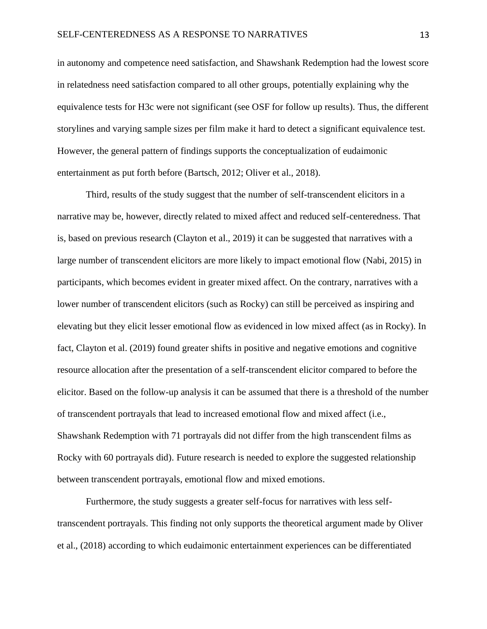in autonomy and competence need satisfaction, and Shawshank Redemption had the lowest score in relatedness need satisfaction compared to all other groups, potentially explaining why the equivalence tests for H3c were not significant (see OSF for follow up results). Thus, the different storylines and varying sample sizes per film make it hard to detect a significant equivalence test. However, the general pattern of findings supports the conceptualization of eudaimonic entertainment as put forth before (Bartsch, 2012; Oliver et al., 2018).

Third, results of the study suggest that the number of self-transcendent elicitors in a narrative may be, however, directly related to mixed affect and reduced self-centeredness. That is, based on previous research (Clayton et al., 2019) it can be suggested that narratives with a large number of transcendent elicitors are more likely to impact emotional flow (Nabi, 2015) in participants, which becomes evident in greater mixed affect. On the contrary, narratives with a lower number of transcendent elicitors (such as Rocky) can still be perceived as inspiring and elevating but they elicit lesser emotional flow as evidenced in low mixed affect (as in Rocky). In fact, Clayton et al. (2019) found greater shifts in positive and negative emotions and cognitive resource allocation after the presentation of a self-transcendent elicitor compared to before the elicitor. Based on the follow-up analysis it can be assumed that there is a threshold of the number of transcendent portrayals that lead to increased emotional flow and mixed affect (i.e., Shawshank Redemption with 71 portrayals did not differ from the high transcendent films as Rocky with 60 portrayals did). Future research is needed to explore the suggested relationship between transcendent portrayals, emotional flow and mixed emotions.

Furthermore, the study suggests a greater self-focus for narratives with less selftranscendent portrayals. This finding not only supports the theoretical argument made by Oliver et al., (2018) according to which eudaimonic entertainment experiences can be differentiated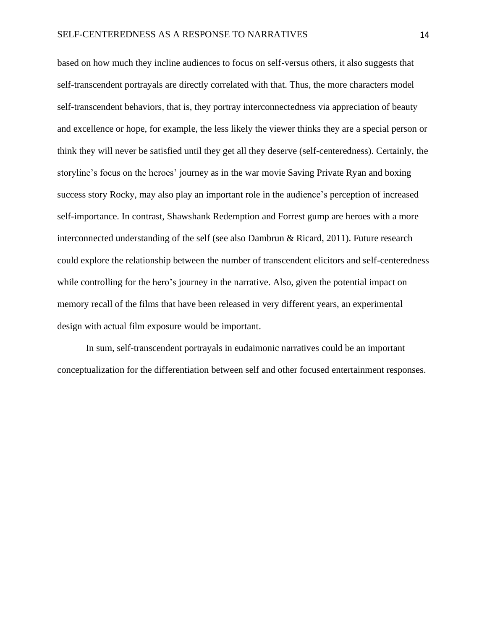based on how much they incline audiences to focus on self-versus others, it also suggests that self-transcendent portrayals are directly correlated with that. Thus, the more characters model self-transcendent behaviors, that is, they portray interconnectedness via appreciation of beauty and excellence or hope, for example, the less likely the viewer thinks they are a special person or think they will never be satisfied until they get all they deserve (self-centeredness). Certainly, the storyline's focus on the heroes' journey as in the war movie Saving Private Ryan and boxing success story Rocky, may also play an important role in the audience's perception of increased self-importance. In contrast, Shawshank Redemption and Forrest gump are heroes with a more interconnected understanding of the self (see also Dambrun & Ricard, 2011). Future research could explore the relationship between the number of transcendent elicitors and self-centeredness while controlling for the hero's journey in the narrative. Also, given the potential impact on memory recall of the films that have been released in very different years, an experimental design with actual film exposure would be important.

In sum, self-transcendent portrayals in eudaimonic narratives could be an important conceptualization for the differentiation between self and other focused entertainment responses.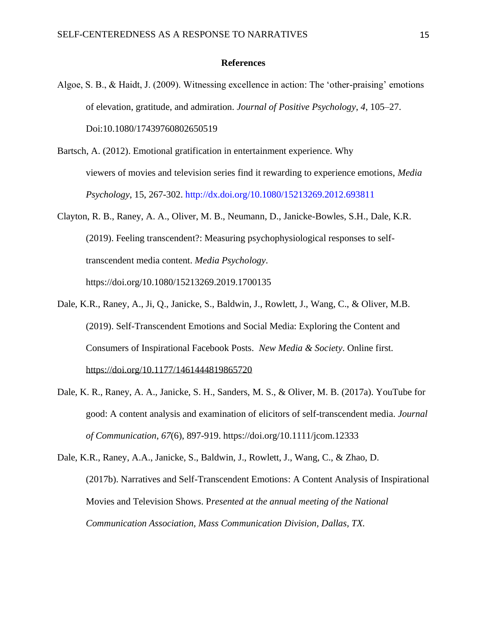#### **References**

- Algoe, S. B., & Haidt, J. (2009). Witnessing excellence in action: The 'other-praising' emotions of elevation, gratitude, and admiration. *Journal of Positive Psychology*, *4*, 105–27. Doi:10.1080/17439760802650519
- Bartsch, A. (2012). Emotional gratification in entertainment experience. Why viewers of movies and television series find it rewarding to experience emotions, *Media Psychology*, 15, 267-302. http://dx.doi.org/10.1080/15213269.2012.693811
- Clayton, R. B., Raney, A. A., Oliver, M. B., Neumann, D., Janicke-Bowles, S.H., Dale, K.R. (2019). Feeling transcendent?: Measuring psychophysiological responses to selftranscendent media content. *Media Psychology*. https://doi.org/10.1080/15213269.2019.1700135
- Dale, K.R., Raney, A., Ji, Q., Janicke, S., Baldwin, J., Rowlett, J., Wang, C., & Oliver, M.B. (2019). Self-Transcendent Emotions and Social Media: Exploring the Content and Consumers of Inspirational Facebook Posts. *New Media & Society*. Online first. [https://doi.org/10.1177/1461444819865720](https://doi.org/10.1177%2F1461444819865720)
- Dale, K. R., Raney, A. A., Janicke, S. H., Sanders, M. S., & Oliver, M. B. (2017a). YouTube for good: A content analysis and examination of elicitors of self-transcendent media. *Journal of Communication*, *67*(6), 897-919.<https://doi.org/10.1111/jcom.12333>
- Dale, K.R., Raney, A.A., Janicke, S., Baldwin, J., Rowlett, J., Wang, C., & Zhao, D. (2017b). Narratives and Self-Transcendent Emotions: A Content Analysis of Inspirational Movies and Television Shows. P*resented at the annual meeting of the National Communication Association, Mass Communication Division, Dallas, TX.*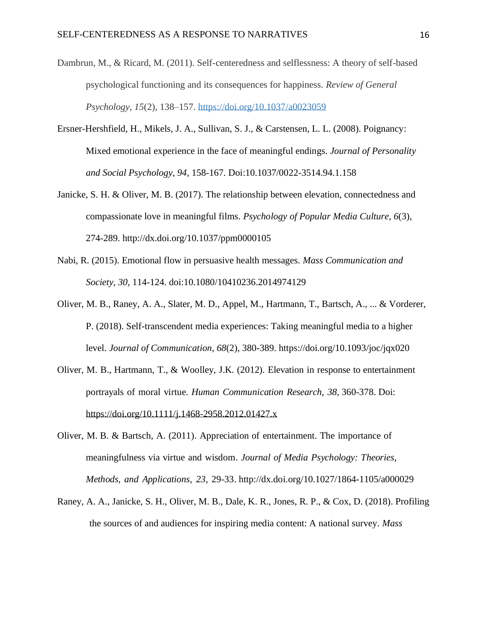- Dambrun, M., & Ricard, M. (2011). Self-centeredness and selflessness: A theory of self-based psychological functioning and its consequences for happiness. *Review of General Psychology, 15*(2), 138–157. [https://doi.org/10.1037/a0023059](https://psycnet.apa.org/doi/10.1037/a0023059)
- Ersner-Hershfield, H., Mikels, J. A., Sullivan, S. J., & Carstensen, L. L. (2008). Poignancy: Mixed emotional experience in the face of meaningful endings. *Journal of Personality and Social Psychology, 94*, 158-167. Doi:10.1037/0022-3514.94.1.158
- Janicke, S. H. & Oliver, M. B. (2017). The relationship between elevation, connectedness and compassionate love in meaningful films. *Psychology of Popular Media Culture, 6*(3), 274-289. [http://dx.doi.org/10.1037/ppm0000105](http://psycnet.apa.org/doi/10.1037/ppm0000105)
- Nabi, R. (2015). Emotional flow in persuasive health messages*. Mass Communication and Society, 30*, 114-124. doi:10.1080/10410236.2014974129
- Oliver, M. B., Raney, A. A., Slater, M. D., Appel, M., Hartmann, T., Bartsch, A., ... & Vorderer, P. (2018). Self-transcendent media experiences: Taking meaningful media to a higher level. *Journal of Communication*, *68*(2), 380-389. <https://doi.org/10.1093/joc/jqx020>
- Oliver, M. B., Hartmann, T., & Woolley, J.K. (2012). Elevation in response to entertainment portrayals of moral virtue. *Human Communication Research, 38*, 360-378. Doi: <https://doi.org/10.1111/j.1468-2958.2012.01427.x>
- Oliver, M. B. & Bartsch, A. (2011). Appreciation of entertainment. The importance of meaningfulness via virtue and wisdom. *Journal of Media Psychology: Theories, Methods, and Applications, 23*, 29-33. [http://dx.doi.org/10.1027/1864-1105/a000029](https://psycnet.apa.org/doi/10.1027/1864-1105/a000029)
- Raney, A. A., Janicke, S. H., Oliver, M. B., Dale, K. R., Jones, R. P., & Cox, D. (2018). Profiling the sources of and audiences for inspiring media content: A national survey. *Mass*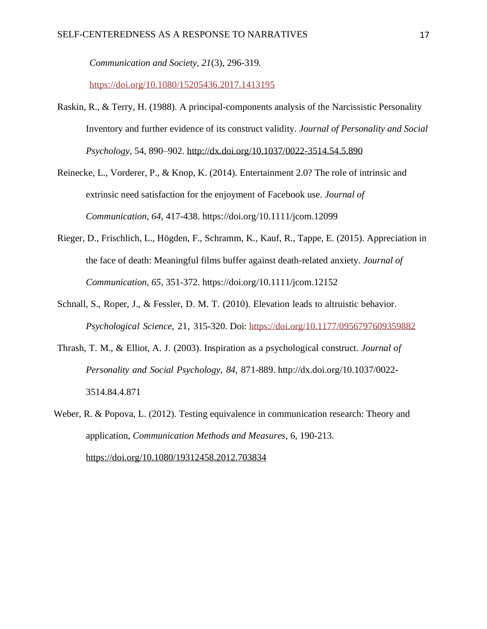*Communication and Society, 21*(3), 296-319*.*

<https://doi.org/10.1080/15205436.2017.1413195>

- Raskin, R., & Terry, H. (1988). A principal-components analysis of the Narcissistic Personality Inventory and further evidence of its construct validity. *Journal of Personality and Social Psychology*, 54, 890–902. [http://dx.doi.org/10.1037/0022-3514.54.5.890](https://psycnet.apa.org/doi/10.1037/0022-3514.54.5.890)
- Reinecke, L., Vorderer, P., & Knop, K. (2014). Entertainment 2.0? The role of intrinsic and extrinsic need satisfaction for the enjoyment of Facebook use. *Journal of Communication, 64*, 417-438. https://doi.org/10.1111/jcom.12099
- Rieger, D., Frischlich, L., Högden, F., Schramm, K., Kauf, R., Tappe, E. (2015). Appreciation in the face of death: Meaningful films buffer against death-related anxiety. *Journal of Communication, 65*, 351-372. https://doi.org/10.1111/jcom.12152
- Schnall, S., Roper, J., & Fessler, D. M. T. (2010). Elevation leads to altruistic behavior. *Psychological Science*, 21, 315-320. Doi: <https://doi.org/10.1177/0956797609359882>
- Thrash, T. M., & Elliot, A. J. (2003). Inspiration as a psychological construct. *Journal of Personality and Social Psychology, 84,* 871-889. [http://dx.doi.org/10.1037/0022-](https://psycnet.apa.org/doi/10.1037/0022-3514.84.4.871) [3514.84.4.871](https://psycnet.apa.org/doi/10.1037/0022-3514.84.4.871)
- Weber, R. & Popova, L. (2012). Testing equivalence in communication research: Theory and application, *Communication Methods and Measures*, 6, 190-213. <https://doi.org/10.1080/19312458.2012.703834>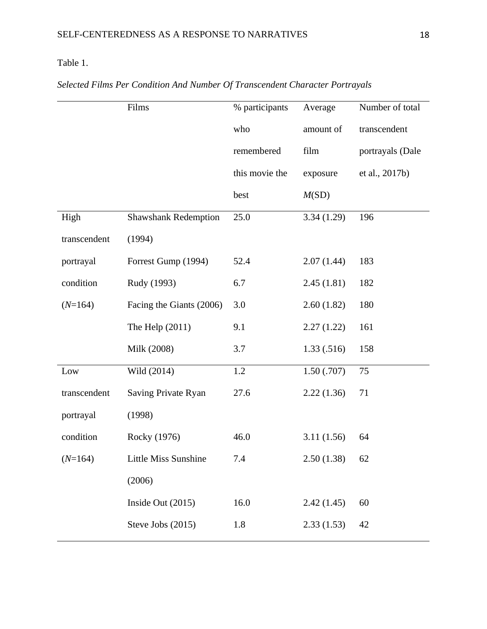## Table 1.

|              | Films                       | % participants | Average     | Number of total  |  |
|--------------|-----------------------------|----------------|-------------|------------------|--|
|              |                             | who            | amount of   | transcendent     |  |
|              |                             | remembered     | film        | portrayals (Dale |  |
|              |                             | this movie the | exposure    | et al., 2017b)   |  |
|              |                             | best           | M(SD)       |                  |  |
| High         | <b>Shawshank Redemption</b> | 25.0           | 3.34(1.29)  | 196              |  |
| transcendent | (1994)                      |                |             |                  |  |
| portrayal    | Forrest Gump (1994)         | 52.4           | 2.07(1.44)  | 183              |  |
| condition    | Rudy (1993)                 | 6.7            | 2.45(1.81)  | 182              |  |
| $(N=164)$    | Facing the Giants (2006)    | 3.0            | 2.60(1.82)  | 180              |  |
|              | The Help $(2011)$           | 9.1            | 2.27(1.22)  | 161              |  |
|              | Milk (2008)                 | 3.7            | 1.33(0.516) | 158              |  |
| Low          | Wild (2014)                 | 1.2            | 1.50(0.707) | 75               |  |
| transcendent | Saving Private Ryan         | 27.6           | 2.22(1.36)  | 71               |  |
| portrayal    | (1998)                      |                |             |                  |  |
| condition    | Rocky (1976)                | 46.0           | 3.11(1.56)  | 64               |  |
| $(N=164)$    | Little Miss Sunshine        | 7.4            | 2.50(1.38)  | 62               |  |
|              | (2006)                      |                |             |                  |  |
|              | Inside Out (2015)           | 16.0           | 2.42(1.45)  | 60               |  |
|              | Steve Jobs (2015)           | 1.8            | 2.33(1.53)  | 42               |  |
|              |                             |                |             |                  |  |

# *Selected Films Per Condition And Number Of Transcendent Character Portrayals*